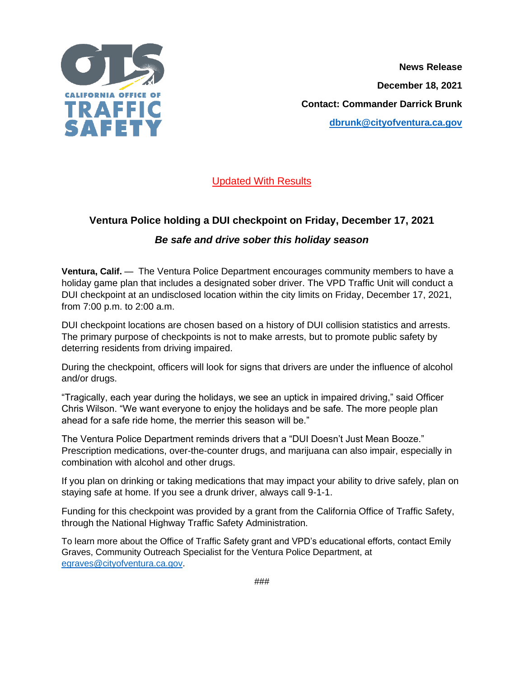

**News Release December 18, 2021 Contact: Commander Darrick Brunk [dbrunk@cityofventura.ca.gov](mailto:dbrunk@cityofventura.ca.gov)**

Updated With Results

## **Ventura Police holding a DUI checkpoint on Friday, December 17, 2021**

## *Be safe and drive sober this holiday season*

**Ventura, Calif.** — The Ventura Police Department encourages community members to have a holiday game plan that includes a designated sober driver. The VPD Traffic Unit will conduct a DUI checkpoint at an undisclosed location within the city limits on Friday, December 17, 2021, from 7:00 p.m. to 2:00 a.m.

DUI checkpoint locations are chosen based on a history of DUI collision statistics and arrests. The primary purpose of checkpoints is not to make arrests, but to promote public safety by deterring residents from driving impaired.

During the checkpoint, officers will look for signs that drivers are under the influence of alcohol and/or drugs.

"Tragically, each year during the holidays, we see an uptick in impaired driving," said Officer Chris Wilson. "We want everyone to enjoy the holidays and be safe. The more people plan ahead for a safe ride home, the merrier this season will be."

The Ventura Police Department reminds drivers that a "DUI Doesn't Just Mean Booze." Prescription medications, over-the-counter drugs, and marijuana can also impair, especially in combination with alcohol and other drugs.

If you plan on drinking or taking medications that may impact your ability to drive safely, plan on staying safe at home. If you see a drunk driver, always call 9-1-1.

Funding for this checkpoint was provided by a grant from the California Office of Traffic Safety, through the National Highway Traffic Safety Administration.

To learn more about the Office of Traffic Safety grant and VPD's educational efforts, contact Emily Graves, Community Outreach Specialist for the Ventura Police Department, at [egraves@cityofventura.ca.gov.](mailto:egraves@cityofventura.ca.gov)